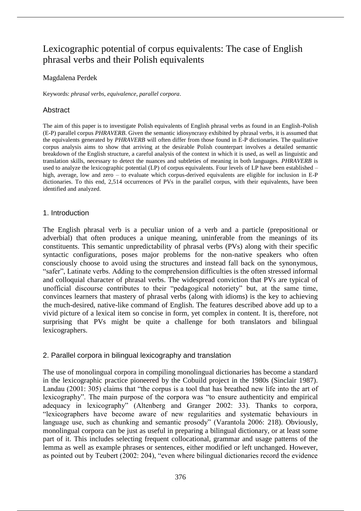# Lexicographic potential of corpus equivalents: The case of English phrasal verbs and their Polish equivalents

## Magdalena Perdek

Keywords: *phrasal verbs*, *equivalence*, *parallel corpora*.

## Abstract

The aim of this paper is to investigate Polish equivalents of English phrasal verbs as found in an English-Polish (E-P) parallel corpus *PHRAVERB*. Given the semantic idiosyncrasy exhibited by phrasal verbs, it is assumed that the equivalents generated by *PHRAVERB* will often differ from those found in E-P dictionaries. The qualitative corpus analysis aims to show that arriving at the desirable Polish counterpart involves a detailed semantic breakdown of the English structure, a careful analysis of the context in which it is used, as well as linguistic and translation skills, necessary to detect the nuances and subtleties of meaning in both languages. *PHRAVERB* is used to analyze the lexicographic potential (LP) of corpus equivalents. Four levels of LP have been established – high, average, low and zero – to evaluate which corpus-derived equivalents are eligible for inclusion in E-P dictionaries. To this end, 2,514 occurrences of PVs in the parallel corpus, with their equivalents, have been identified and analyzed.

## 1. Introduction

The English phrasal verb is a peculiar union of a verb and a particle (prepositional or adverbial) that often produces a unique meaning, uninferable from the meanings of its constituents. This semantic unpredictability of phrasal verbs (PVs) along with their specific syntactic configurations, poses major problems for the non-native speakers who often consciously choose to avoid using the structures and instead fall back on the synonymous, "safer", Latinate verbs. Adding to the comprehension difficulties is the often stressed informal and colloquial character of phrasal verbs. The widespread conviction that PVs are typical of unofficial discourse contributes to their "pedagogical notoriety" but, at the same time, convinces learners that mastery of phrasal verbs (along with idioms) is the key to achieving the much-desired, native-like command of English. The features described above add up to a vivid picture of a lexical item so concise in form, yet complex in content. It is, therefore, not surprising that PVs might be quite a challenge for both translators and bilingual lexicographers.

# 2. Parallel corpora in bilingual lexicography and translation

The use of monolingual corpora in compiling monolingual dictionaries has become a standard in the lexicographic practice pioneered by the Cobuild project in the 1980s (Sinclair 1987). Landau (2001: 305) claims that "the corpus is a tool that has breathed new life into the art of lexicography". The main purpose of the corpora was "to ensure authenticity and empirical adequacy in lexicography" (Altenberg and Granger 2002: 33). Thanks to corpora, "lexicographers have become aware of new regularities and systematic behaviours in language use, such as chunking and semantic prosody" (Varantola 2006: 218). Obviously, monolingual corpora can be just as useful in preparing a bilingual dictionary, or at least some part of it. This includes selecting frequent collocational, grammar and usage patterns of the lemma as well as example phrases or sentences, either modified or left unchanged. However, as pointed out by Teubert (2002: 204), "even where bilingual dictionaries record the evidence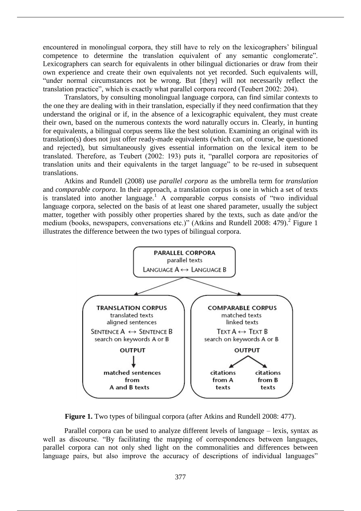encountered in monolingual corpora, they still have to rely on the lexicographers' bilingual competence to determine the translation equivalent of any semantic conglomerate". Lexicographers can search for equivalents in other bilingual dictionaries or draw from their own experience and create their own equivalents not yet recorded. Such equivalents will, "under normal circumstances not be wrong. But [they] will not necessarily reflect the translation practice", which is exactly what parallel corpora record (Teubert 2002: 204).

Translators, by consulting monolingual language corpora, can find similar contexts to the one they are dealing with in their translation, especially if they need confirmation that they understand the original or if, in the absence of a lexicographic equivalent, they must create their own, based on the numerous contexts the word naturally occurs in. Clearly, in hunting for equivalents, a bilingual corpus seems like the best solution. Examining an original with its translation(s) does not just offer ready-made equivalents (which can, of course, be questioned and rejected), but simultaneously gives essential information on the lexical item to be translated. Therefore, as Teubert (2002: 193) puts it, "parallel corpora are repositories of translation units and their equivalents in the target language" to be re-used in subsequent translations.

Atkins and Rundell (2008) use *parallel corpora* as the umbrella term for *translation* and *comparable corpora*. In their approach, a translation corpus is one in which a set of texts is translated into another language.<sup>1</sup> A comparable corpus consists of "two individual language corpora, selected on the basis of at least one shared parameter, usually the subject matter, together with possibly other properties shared by the texts, such as date and/or the medium (books, newspapers, conversations etc.)" (Atkins and Rundell 2008: 479).<sup>2</sup> Figure 1 illustrates the difference between the two types of bilingual corpora.



**Figure 1.** Two types of bilingual corpora (after Atkins and Rundell 2008: 477).

Parallel corpora can be used to analyze different levels of language – lexis, syntax as well as discourse. "By facilitating the mapping of correspondences between languages, parallel corpora can not only shed light on the commonalities and differences between language pairs, but also improve the accuracy of descriptions of individual languages"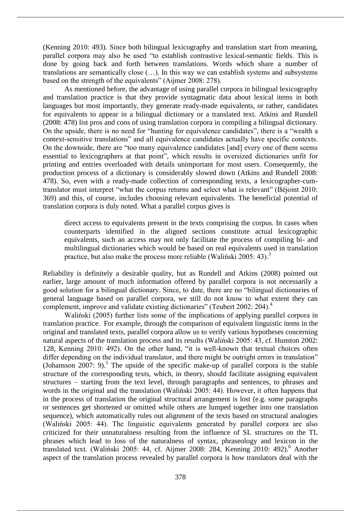(Kenning 2010: 493). Since both bilingual lexicography and translation start from meaning, parallel corpora may also be used "to establish contrastive lexical-semantic fields. This is done by going back and forth between translations. Words which share a number of translations are semantically close (…). In this way we can establish systems and subsystems based on the strength of the equivalents" (Aijmer 2008: 278).

As mentioned before, the advantage of using parallel corpora in bilingual lexicography and translation practice is that they provide syntagmatic data about lexical items in both languages but most importantly, they generate ready-made equivalents, or rather, candidates for equivalents to appear in a bilingual dictionary or a translated text. Atkins and Rundell (2008: 478) list pros and cons of using translation corpora in compiling a bilingual dictionary. On the upside, there is no need for "hunting for equivalence candidates", there is a "wealth a context-sensitive translations" and all equivalence candidates actually have specific contexts. On the downside, there are "too many equivalence candidates [and] every one of them seems essential to lexicographers at that point", which results in oversized dictionaries unfit for printing and entries overloaded with details unimportant for most users. Consequently, the production process of a dictionary is considerably slowed down (Atkins and Rundell 2008: 478). So, even with a ready-made collection of corresponding texts, a lexicographer-cumtranslator must interpret "what the corpus returns and select what is relevant" (Béjoint 2010: 369) and this, of course, includes choosing relevant equivalents. The beneficial potential of translation corpora is duly noted. What a parallel corpus gives is

direct access to equivalents present in the texts comprising the corpus. In cases when counterparts identified in the aligned sections constitute actual lexicographic equivalents, such an access may not only facilitate the process of compiling bi- and multilingual dictionaries which would be based on real equivalents used in translation practice, but also make the process more reliable (Waliński 2005: 43).<sup>3</sup>

Reliability is definitely a desirable quality, but as Rundell and Atkins (2008) pointed out earlier, large amount of much information offered by parallel corpora is not necessarily a good solution for a bilingual dictionary. Since, to date, there are no "bilingual dictionaries of general language based on parallel corpora, we still do not know to what extent they can complement, improve and validate existing dictionaries" (Teubert 2002: 204).<sup>4</sup>

Waliński (2005) further lists some of the implications of applying parallel corpora in translation practice. For example, through the comparison of equivalent linguistic items in the original and translated texts, parallel corpora allow us to verify various hypotheses concerning natural aspects of the translation process and its results (Waliński 2005: 43, cf. Hunston 2002: 128, Kenning 2010: 492). On the other hand, "it is well-known that textual choices often differ depending on the individual translator, and there might be outright errors in translation" (Johansson 2007: 9).<sup>5</sup> The upside of the specific make-up of parallel corpora is the stable structure of the corresponding texts, which, in theory, should facilitate assigning equivalent structures – starting from the text level, through paragraphs and sentences, to phrases and words in the original and the translation (Waliński 2005: 44). However, it often happens that in the process of translation the original structural arrangement is lost (e.g. some paragraphs or sentences get shortened or omitted while others are lumped together into one translation sequence), which automatically rules out alignment of the texts based on structural analogies (Waliński 2005: 44). The linguistic equivalents generated by parallel corpora are also criticized for their unnaturalness resulting from the influence of SL structures on the TL phrases which lead to loss of the naturalness of syntax, phraseology and lexicon in the translated text. (Waliński 2005: 44, cf. Aijmer 2008: 284, Kenning 2010: 492).<sup>6</sup> Another aspect of the translation process revealed by parallel corpora is how translators deal with the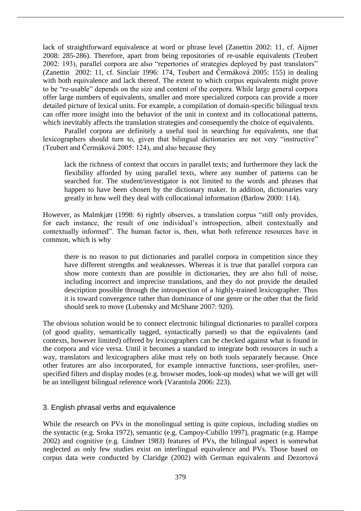lack of straightforward equivalence at word or phrase level (Zanettin 2002: 11, cf. Aijmer 2008: 285-286). Therefore, apart from being repositories of re-usable equivalents (Teubert 2002: 193), parallel corpora are also "repertories of strategies deployed by past translators" (Zanettin 2002: 11, cf. Sinclair 1996: 174, Teubert and Čermáková 2005: 155) in dealing with both equivalence and lack thereof. The extent to which corpus equivalents might prove to be "re-usable" depends on the size and content of the corpora. While large general corpora offer large numbers of equivalents, smaller and more specialized corpora can provide a more detailed picture of lexical units. For example, a compilation of domain-specific bilingual texts can offer more insight into the behavior of the unit in context and its collocational patterns, which inevitably affects the translation strategies and consequently the choice of equivalents.

Parallel corpora are definitely a useful tool in searching for equivalents, one that lexicographers should turn to, given that bilingual dictionaries are not very "instructive" (Teubert and Čermáková 2005: 124), and also because they

lack the richness of context that occurs in parallel texts; and furthermore they lack the flexibility afforded by using parallel texts, where any number of patterns can be searched for. The student/investigator is not limited to the words and phrases that happen to have been chosen by the dictionary maker. In addition, dictionaries vary greatly in how well they deal with collocational information (Barlow 2000: 114).

However, as Malmkjær (1998: 6) rightly observes, a translation corpus "still only provides, for each instance, the result of one individual's introspection, albeit contextually and contextually informed". The human factor is, then, what both reference resources have in common, which is why

there is no reason to put dictionaries and parallel corpora in competition since they have different strengths and weaknesses. Whereas it is true that parallel corpora can show more contexts than are possible in dictionaries, they are also full of noise, including incorrect and imprecise translations, and they do not provide the detailed description possible through the introspection of a highly-trained lexicographer. Thus it is toward convergence rather than dominance of one genre or the other that the field should seek to move (Lubensky and McShane 2007: 920).

The obvious solution would be to connect electronic bilingual dictionaries to parallel corpora (of good quality, semantically tagged, syntactically parsed) so that the equivalents (and contexts, however limited) offered by lexicographers can be checked against what is found in the corpora and vice versa. Until it becomes a standard to integrate both resources in such a way, translators and lexicographers alike must rely on both tools separately because. Once other features are also incorporated, for example interactive functions, user-profiles, userspecified filters and display modes (e.g. browser modes, look-up modes) what we will get will be an intelligent bilingual reference work (Varantola 2006: 223).

# 3. English phrasal verbs and equivalence

While the research on PVs in the monolingual setting is quite copious, including studies on the syntactic (e.g. Sroka 1972), semantic (e.g. Campoy-Cubillo 1997), pragmatic (e.g. Hampe 2002) and cognitive (e.g. Lindner 1983) features of PVs, the bilingual aspect is somewhat neglected as only few studies exist on interlingual equivalence and PVs. Those based on corpus data were conducted by Claridge (2002) with German equivalents and Dezortová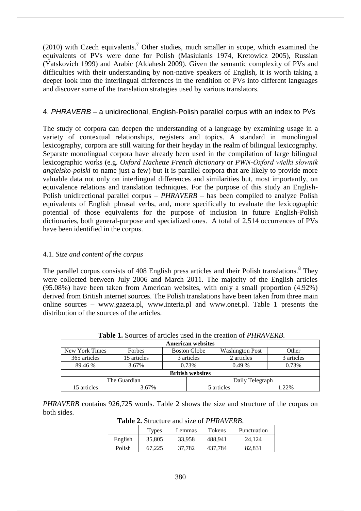$(2010)$  with Czech equivalents.<sup>7</sup> Other studies, much smaller in scope, which examined the equivalents of PVs were done for Polish (Masiulanis 1974, Kretowicz 2005), Russian (Yatskovich 1999) and Arabic (Aldahesh 2009). Given the semantic complexity of PVs and difficulties with their understanding by non-native speakers of English, it is worth taking a deeper look into the interlingual differences in the rendition of PVs into different languages and discover some of the translation strategies used by various translators.

# 4. *PHRAVERB* – a unidirectional, English-Polish parallel corpus with an index to PVs

The study of corpora can deepen the understanding of a language by examining usage in a variety of contextual relationships, registers and topics. A standard in monolingual lexicography, corpora are still waiting for their heyday in the realm of bilingual lexicography. Separate monolingual corpora have already been used in the compilation of large bilingual lexicographic works (e.g. *Oxford Hachette French dictionary* or *PWN-Oxford wielki słownik angielsko-polski* to name just a few) but it is parallel corpora that are likely to provide more valuable data not only on interlingual differences and similarities but, most importantly, on equivalence relations and translation techniques. For the purpose of this study an English-Polish unidirectional parallel corpus – *PHRAVERB* – has been compiled to analyze Polish equivalents of English phrasal verbs, and, more specifically to evaluate the lexicographic potential of those equivalents for the purpose of inclusion in future English-Polish dictionaries, both general-purpose and specialized ones. A total of 2,514 occurrences of PVs have been identified in the corpus.

# 4.1. *Size and content of the corpus*

The parallel corpus consists of 408 English press articles and their Polish translations.<sup>8</sup> They were collected between July 2006 and March 2011. The majority of the English articles (95.08%) have been taken from American websites, with only a small proportion (4.92%) derived from British internet sources. The Polish translations have been taken from three main online sources – www.gazeta.pl, www.interia.pl and www.onet.pl. Table 1 presents the distribution of the sources of the articles.

| <b>Table 1.</b> Sources of articles used in the creation of T <i>TIRAVERD</i> .    |                         |                     |  |            |  |       |  |
|------------------------------------------------------------------------------------|-------------------------|---------------------|--|------------|--|-------|--|
| <b>American websites</b>                                                           |                         |                     |  |            |  |       |  |
| New York Times<br><b>Boston Globe</b><br><b>Washington Post</b><br>Other<br>Forbes |                         |                     |  |            |  |       |  |
| 15 articles<br>365 articles<br>2 articles<br>3 articles                            |                         |                     |  | 3 articles |  |       |  |
| 89.46 %                                                                            | 3.67%                   | 0.73%               |  | 0.49%      |  | 0.73% |  |
|                                                                                    | <b>British websites</b> |                     |  |            |  |       |  |
| The Guardian<br>Daily Telegraph                                                    |                         |                     |  |            |  |       |  |
| 15 articles<br>3.67%                                                               |                         | 1.22%<br>5 articles |  |            |  |       |  |

**Table 1.** Sources of articles used in the creation of *PHRAVERB*.

*PHRAVERB* contains 926,725 words. Table 2 shows the size and structure of the corpus on both sides.

**Table 2.** Structure and size of *PHRAVERB*.

|         | Types  | Lemmas | Tokens  | Punctuation |
|---------|--------|--------|---------|-------------|
| English | 35,805 | 33.958 | 488.941 | 24.124      |
| Polish  | 67.225 | 37.782 | 437.784 | 82.831      |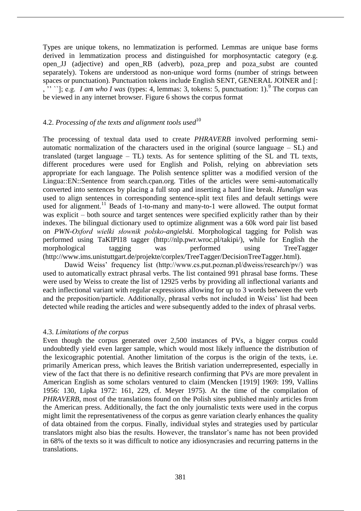Types are unique tokens, no lemmatization is performed. Lemmas are unique base forms derived in lemmatization process and distinguished for morphosyntactic category (e.g. open\_JJ (adjective) and open\_RB (adverb), poza\_prep and poza\_subst are counted separately). Tokens are understood as non-unique word forms (number of strings between spaces or punctuation). Punctuation tokens include English SENT, GENERAL JOINER and [:  $\ldots$   $\ldots$ ; e.g. *I am who I was* (types: 4, lemmas: 3, tokens: 5, punctuation: 1).<sup>9</sup> The corpus can be viewed in any internet browser. Figure 6 shows the corpus format

## 4.2. *Processing of the texts and alignment tools used*<sup>10</sup>

The processing of textual data used to create *PHRAVERB* involved performing semiautomatic normalization of the characters used in the original (source language – SL) and translated (target language – TL) texts. As for sentence splitting of the SL and TL texts, different procedures were used for English and Polish, relying on abbreviation sets appropriate for each language. The Polish sentence splitter was a modified version of the Lingua::EN::Sentence from search.cpan.org. Titles of the articles were semi-automatically converted into sentences by placing a full stop and inserting a hard line break. *Hunalign* was used to align sentences in corresponding sentence-split text files and default settings were used for alignment.<sup>11</sup> Beads of 1-to-many and many-to-1 were allowed. The output format was explicit – both source and target sentences were specified explicitly rather than by their indexes. The bilingual dictionary used to optimize alignment was a 60k word pair list based on *PWN-Oxford wielki słownik polsko-angielski.* Morphological tagging for Polish was performed using TaKIPI18 tagger (http://nlp.pwr.wroc.pl/takipi/), while for English the morphological tagging was performed using TreeTagger (http://www.ims.unistuttgart.de/projekte/corplex/TreeTagger/DecisionTreeTagger.html).

Dawid Weiss' frequency list (http://www.cs.put.poznan.pl/dweiss/research/pv/) was used to automatically extract phrasal verbs. The list contained 991 phrasal base forms. These were used by Weiss to create the list of 12925 verbs by providing all inflectional variants and each inflectional variant with regular expressions allowing for up to 3 words between the verb and the preposition/particle. Additionally, phrasal verbs not included in Weiss' list had been detected while reading the articles and were subsequently added to the index of phrasal verbs.

## 4.3. *Limitations of the corpus*

Even though the corpus generated over 2,500 instances of PVs, a bigger corpus could undoubtedly yield even larger sample, which would most likely influence the distribution of the lexicographic potential. Another limitation of the corpus is the origin of the texts, i.e. primarily American press, which leaves the British variation underrepresented, especially in view of the fact that there is no definitive research confirming that PVs are more prevalent in American English as some scholars ventured to claim (Mencken [1919] 1969: 199, Vallins 1956: 130, Lipka 1972: 161, 229, cf. Meyer 1975). At the time of the compilation of *PHRAVERB*, most of the translations found on the Polish sites published mainly articles from the American press. Additionally, the fact the only journalistic texts were used in the corpus might limit the representativeness of the corpus as genre variation clearly enhances the quality of data obtained from the corpus. Finally, individual styles and strategies used by particular translators might also bias the results. However, the translator's name has not been provided in 68% of the texts so it was difficult to notice any idiosyncrasies and recurring patterns in the translations.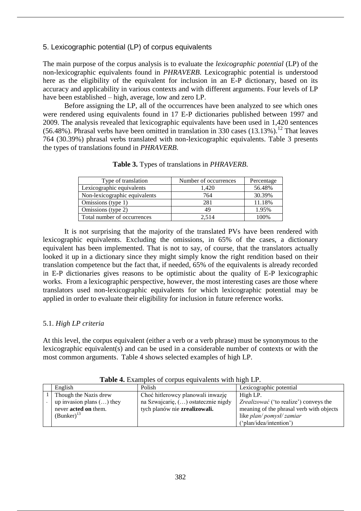## 5. Lexicographic potential (LP) of corpus equivalents

The main purpose of the corpus analysis is to evaluate the *lexicographic potential* (LP) of the non-lexicographic equivalents found in *PHRAVERB*. Lexicographic potential is understood here as the eligibility of the equivalent for inclusion in an E-P dictionary, based on its accuracy and applicability in various contexts and with different arguments. Four levels of LP have been established – high, average, low and zero LP.

Before assigning the LP, all of the occurrences have been analyzed to see which ones were rendered using equivalents found in 17 E-P dictionaries published between 1997 and 2009. The analysis revealed that lexicographic equivalents have been used in 1,420 sentences (56.48%). Phrasal verbs have been omitted in translation in 330 cases (13.13%).<sup>12</sup> That leaves 764 (30.39%) phrasal verbs translated with non-lexicographic equivalents. Table 3 presents the types of translations found in *PHRAVERB*.

| Type of translation           | Number of occurrences | Percentage |
|-------------------------------|-----------------------|------------|
| Lexicographic equivalents     | 1.420                 | 56.48%     |
| Non-lexicographic equivalents | 764                   | 30.39%     |
| Omissions (type 1)            | 281                   | 11.18%     |
| Omissions (type 2)            | 49                    | 1.95%      |
| Total number of occurrences   | 2.514                 | 100%       |

**Table 3.** Types of translations in *PHRAVERB*.

It is not surprising that the majority of the translated PVs have been rendered with lexicographic equivalents. Excluding the omissions, in 65% of the cases, a dictionary equivalent has been implemented. That is not to say, of course, that the translators actually looked it up in a dictionary since they might simply know the right rendition based on their translation competence but the fact that, if needed, 65% of the equivalents is already recorded in E-P dictionaries gives reasons to be optimistic about the quality of E-P lexicographic works. From a lexicographic perspective, however, the most interesting cases are those where translators used non-lexicographic equivalents for which lexicographic potential may be applied in order to evaluate their eligibility for inclusion in future reference works.

# 5.1. *High LP criteria*

At this level, the corpus equivalent (either a verb or a verb phrase) must be synonymous to the lexicographic equivalent(s) and can be used in a considerable number of contexts or with the most common arguments. Table 4 shows selected examples of high LP.

| English                     | Polish                              | Lexicographic potential                  |  |  |  |  |
|-----------------------------|-------------------------------------|------------------------------------------|--|--|--|--|
| Though the Nazis drew       | Choć hitlerowcy planowali inwazję   | High LP.                                 |  |  |  |  |
| up invasion plans $()$ they | na Szwajcarię, () ostatecznie nigdy | Zrealizować ('to realize') conveys the   |  |  |  |  |
| never <b>acted</b> on them. | tych planów nie zrealizowali.       | meaning of the phrasal verb with objects |  |  |  |  |
| $(Bunker)^{13}$             |                                     | like plan/pomysł/zamiar                  |  |  |  |  |
|                             |                                     | ('plan/idea/intention')                  |  |  |  |  |

**Table 4.** Examples of corpus equivalents with high LP.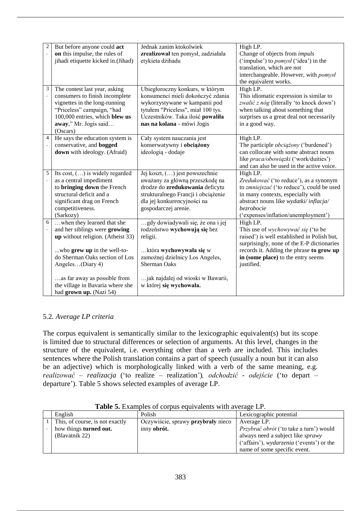| $\overline{c}$       | But before anyone could act        | Jednak zanim ktokolwiek             | High LP.                                     |
|----------------------|------------------------------------|-------------------------------------|----------------------------------------------|
|                      | on this impulse, the rules of      | zrealizował ten pomysł, zadziałała  | Change of objects from <i>impuls</i>         |
|                      | jihadi etiquette kicked in.(Jihad) | etykieta dżihadu                    | ('impulse') to <i>pomysl</i> ('idea') in the |
|                      |                                    |                                     | translation, which are not                   |
|                      |                                    |                                     | interchangeable. However, with pomysl        |
|                      |                                    |                                     |                                              |
|                      |                                    |                                     | the equivalent works.                        |
| $\mathfrak 3$        | The contest last year, asking      | Ubiegłoroczny konkurs, w którym     | High LP.                                     |
|                      | consumers to finish incomplete     | konsumenci mieli dokończyć zdania   | This idiomatic expression is similar to      |
|                      | vignettes in the long-running      | wykorzystywane w kampanii pod       | zwalić z nóg (literally 'to knock down')     |
|                      | "Priceless" campaign, "had         | tytułem "Priceless", miał 100 tys.  | when talking about something that            |
|                      | 100,000 entries, which blew us     | Uczestników. Taka ilość powaliła    | surprises us a great deal not necessarily    |
|                      | away," Mr. Jogis said              | nas na kolana - mówi Jogis          | in a good way.                               |
|                      | (Oscars)                           |                                     |                                              |
| $\overline{4}$       | He says the education system is    | Cały system nauczania jest          | High LP.                                     |
| $\ddot{\phantom{0}}$ |                                    |                                     |                                              |
|                      | conservative, and bogged           | konserwatywny i obciążony           | The participle <i>obciążony</i> ('burdened') |
|                      | down with ideology. (Afraid)       | ideologią - dodaje                  | can collocate with some abstract nouns       |
|                      |                                    |                                     | like praca/obowiązki ('work/duities')        |
|                      |                                    |                                     | and can also be used in the active voice.    |
| 5                    | Its cost, $()$ is widely regarded  | Jej koszt, () jest powszechnie      | High LP.                                     |
|                      | as a central impediment            | uważany za główną przeszkodę na     | Zredukować ('to reduce'), as a synonym       |
|                      | to bringing down the French        | drodze do zredukowania deficytu     | to zmniejszać ('to reduce'), could be used   |
|                      | structural deficit and a           | strukturalnego Francji i obciążenie | in many contexts, especially with            |
|                      | significant drag on French         | dla jej konkurencyjności na         | abstract nouns like wydatki/inflacja/        |
|                      | competitiveness.                   | gospodarczej arenie.                | bezrobocie                                   |
|                      |                                    |                                     |                                              |
|                      | (Sarkozy)                          |                                     | ('expenses/inflation/unemployment')          |
| 6                    | when they learned that she         | gdy dowiadywali się, że ona i jej   | High LP.                                     |
| $\ddot{\phantom{0}}$ | and her siblings were growing      | rodzeństwo wychowują się bez        | This use of wychowywać się ('to be           |
|                      | up without religion. (Atheist 33)  | religii.                            | raised') is well established in Polish but,  |
|                      |                                    |                                     | surprisingly, none of the E-P dictionaries   |
|                      | who grew up in the well-to-        | która wychowywała się w             | records it. Adding the phrase to grow up     |
|                      | do Sherman Oaks section of Los     | zamożnej dzielnicy Los Angeles,     | in (some place) to the entry seems           |
|                      | Angeles(Diary 4)                   | <b>Sherman Oaks</b>                 | justified.                                   |
|                      |                                    |                                     |                                              |
|                      | as far away as possible from       | jak najdalej od wioski w Bawarii,   |                                              |
|                      | the village in Bavaria where she   | w której się wychowała.             |                                              |
|                      |                                    |                                     |                                              |
|                      | had grown up. (Nazi 54)            |                                     |                                              |

# 5.2*. Average LP criteria*

The corpus equivalent is semantically similar to the lexicographic equivalent(s) but its scope is limited due to structural differences or selection of arguments. At this level, changes in the structure of the equivalent, i.e. everything other than a verb are included. This includes sentences where the Polish translation contains a part of speech (usually a noun but it can also be an adjective) which is morphologically linked with a verb of the same meaning, e.g. *realizować – realizacja* ('to realize – realization')*, odchodzić - odejście* ('to depart – departure'). Table 5 shows selected examples of average LP.

| English                         | Polish                             | Lexicographic potential                          |
|---------------------------------|------------------------------------|--------------------------------------------------|
| This, of course, is not exactly | Oczywiście, sprawy przybrały nieco | Average LP.                                      |
| how things turned out.          | inny obrót.                        | <i>Przybrać obrót</i> ('to take a turn') would   |
| (Blavatnik 22)                  |                                    | always need a subject like sprawy                |
|                                 |                                    | ('affairs'), <i>wydarzenia</i> ('events') or the |
|                                 |                                    | name of some specific event.                     |

**Table 5.** Examples of corpus equivalents with average LP.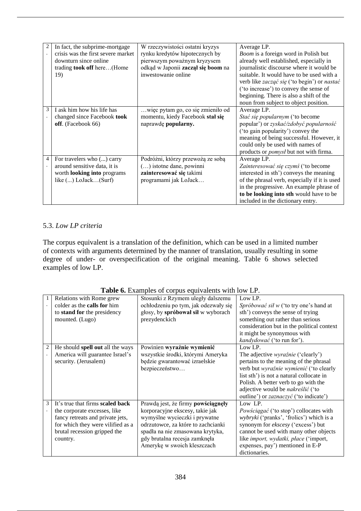| 2              | In fact, the subprime-mortgage     | W rzeczywistości ostatni kryzys    | Average LP.                                   |
|----------------|------------------------------------|------------------------------------|-----------------------------------------------|
|                | crisis was the first severe market | rynku kredytów hipotecznych by     | Boom is a foreign word in Polish but          |
|                | downturn since online              | pierwszym poważnym kryzysem        | already well established, especially in       |
|                | trading took off here(Home         | odkąd w Japonii zaczął się boom na | journalistic discourse where it would be      |
|                | 19)                                | inwestowanie online                | suitable. It would have to be used with a     |
|                |                                    |                                    | verb like zacząć się ('to begin') or nastać   |
|                |                                    |                                    | ('to increase') to convey the sense of        |
|                |                                    |                                    | beginning. There is also a shift of the       |
|                |                                    |                                    | noun from subject to object position.         |
| 3              | I ask him how his life has         | więc pytam go, co się zmieniło od  | Average LP.                                   |
|                | changed since Facebook took        | momentu, kiedy Facebook stał się   | <i>Stać się popularnym</i> ('to become        |
|                | off. (Facebook 66)                 | naprawdę popularny.                | popular') or zyskać/zdobyć popularność        |
|                |                                    |                                    | ('to gain popularity') convey the             |
|                |                                    |                                    | meaning of being successful. However, it      |
|                |                                    |                                    | could only be used with names of              |
|                |                                    |                                    | products or <i>pomysl</i> but not with firma. |
| $\overline{4}$ | For travelers who () carry         | Podróżni, którzy przewożą ze sobą  | Average LP.                                   |
|                | around sensitive data, it is       | () istotne dane, powinni           | Zainteresować się czymś ('to become           |
|                | worth <b>looking</b> into programs | zainteresować się takimi           | interested in sth') conveys the meaning       |
|                | like $()$ LoJack $(Surf)$          | programami jak LoJack              | of the phrasal verb, especially if it is used |
|                |                                    |                                    | in the progressive. An example phrase of      |
|                |                                    |                                    | to be looking into sth would have to be       |
|                |                                    |                                    | included in the dictionary entry.             |

# 5.3. *Low LP criteria*

The corpus equivalent is a translation of the definition, which can be used in a limited number of contexts with arguments determined by the manner of translation, usually resulting in some degree of under- or overspecification of the original meaning. Table 6 shows selected examples of low LP.

|                | $\frac{1}{2}$                      |                                      |                                                 |  |  |  |  |
|----------------|------------------------------------|--------------------------------------|-------------------------------------------------|--|--|--|--|
| 1              | Relations with Rome grew           | Stosunki z Rzymem uległy dalszemu    | Low LP.                                         |  |  |  |  |
|                | colder as the <b>calls for</b> him | ochłodzeniu po tym, jak odezwały się | Spróbować sił w ('to try one's hand at          |  |  |  |  |
|                | to stand for the presidency        | głosy, by spróbował sił w wyborach   | sth') conveys the sense of trying               |  |  |  |  |
|                | mounted. (Lugo)                    | prezydenckich                        | something out rather than serious               |  |  |  |  |
|                |                                    |                                      | consideration but in the political context      |  |  |  |  |
|                |                                    |                                      | it might be synonymous with                     |  |  |  |  |
|                |                                    |                                      | kandydować ('to run for').                      |  |  |  |  |
| $\overline{2}$ | He should spell out all the ways   | Powinien wyraźnie wymienić           | Low LP.                                         |  |  |  |  |
|                | America will guarantee Israel's    | wszystkie środki, którymi Ameryka    | The adjective <i>wyraźnie</i> ('clearly')       |  |  |  |  |
|                | security. (Jerusalem)              | będzie gwarantować izraelskie        | pertains to the meaning of the phrasal          |  |  |  |  |
|                |                                    | bezpieczeństwo                       | verb but wyraźnie wymienić ('to clearly         |  |  |  |  |
|                |                                    |                                      | list sth') is not a natural collocate in        |  |  |  |  |
|                |                                    |                                      | Polish. A better verb to go with the            |  |  |  |  |
|                |                                    |                                      | adjective would be nakreślić ('to               |  |  |  |  |
|                |                                    |                                      | outline') or <i>zaznaczyć</i> ('to indicate')   |  |  |  |  |
| 3              | It's true that firms scaled back   | Prawdą jest, że firmy powściągnęły   | Low LP.                                         |  |  |  |  |
|                | the corporate excesses, like       | korporacyjne ekscesy, takie jak      | Powściągać ('to stop') collocates with          |  |  |  |  |
|                | fancy retreats and private jets,   | wymyślne wycieczki i prywatne        | <i>wybryki</i> ('pranks', 'frolics') which is a |  |  |  |  |
|                | for which they were vilified as a  | odrzutowce, za które to zachcianki   | synonym for ekscesy ('excess') but              |  |  |  |  |
|                | brutal recession gripped the       | spadła na nie zmasowana krytyka,     | cannot be used with many other objects          |  |  |  |  |
|                | country.                           | gdy brutalna recesja zamknęła        | like import, wydatki, płace ('import,           |  |  |  |  |
|                |                                    | Amerykę w swoich kleszczach          | expenses, pay') mentioned in E-P                |  |  |  |  |
|                |                                    |                                      | dictionaries.                                   |  |  |  |  |

**Table 6.** Examples of corpus equivalents with low LP.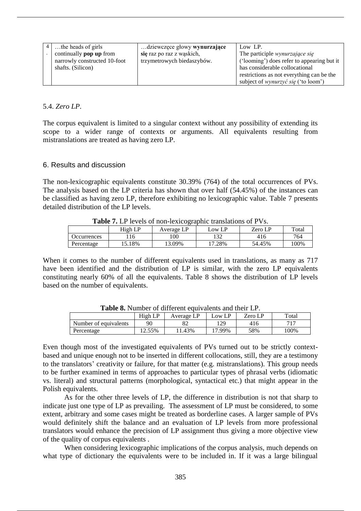| the heads of girls             | dziewczęce głowy wynurzające | Low LP.                                    |
|--------------------------------|------------------------------|--------------------------------------------|
| continually <b>pop up</b> from | się raz po raz z wąskich,    | The participle <i>wynurzające się</i>      |
| narrowly constructed 10-foot   | trzymetrowych biedaszybów.   | ('looming') does refer to appearing but it |
| shafts. (Silicon)              |                              | has considerable collocational             |
|                                |                              | restrictions as not everything can be the  |
|                                |                              | subject of <i>wynurzyć się</i> ('to loom') |

#### 5.4. *Zero LP*.

The corpus equivalent is limited to a singular context without any possibility of extending its scope to a wider range of contexts or arguments. All equivalents resulting from mistranslations are treated as having zero LP.

#### 6. Results and discussion

The non-lexicographic equivalents constitute 30.39% (764) of the total occurrences of PVs. The analysis based on the LP criteria has shown that over half (54.45%) of the instances can be classified as having zero LP, therefore exhibiting no lexicographic value. Table 7 presents detailed distribution of the LP levels.

| <b>rapic</b> <i>i</i> . Et levels of hon-review graphic translations of 1 vs. |         |            |        |         |        |  |  |
|-------------------------------------------------------------------------------|---------|------------|--------|---------|--------|--|--|
|                                                                               | High LP | Average LP | LOW LP | Zero LP | Total  |  |  |
| <i>Occurrences</i>                                                            |         | .00        |        | 416     | 764    |  |  |
| Percentage                                                                    | 15.18%  | 13.09%     | 17.28% | 54.45%  | $00\%$ |  |  |

**Table 7.** LP levels of non-lexicographic translations of PVs.

When it comes to the number of different equivalents used in translations, as many as 717 have been identified and the distribution of LP is similar, with the zero LP equivalents constituting nearly 60% of all the equivalents. Table 8 shows the distribution of LP levels based on the number of equivalents.

| <b>Table 0.</b> INMITIOUR OF UNIVERSITY OF PRODUCITS AND MICH. LET. |         |            |        |         |         |  |
|---------------------------------------------------------------------|---------|------------|--------|---------|---------|--|
|                                                                     | High LP | Average LP | Low LP | Zero LP | Total   |  |
| Number of equivalents                                               |         | 82         | 29     | 416     | 717     |  |
| Percentage                                                          | 12.55%  | 1.43%      | 17.99% | 58%     | $100\%$ |  |

**Table 8.** Number of different equivalents and their LP.

Even though most of the investigated equivalents of PVs turned out to be strictly contextbased and unique enough not to be inserted in different collocations, still, they are a testimony to the translators' creativity or failure, for that matter (e.g. mistranslations). This group needs to be further examined in terms of approaches to particular types of phrasal verbs (idiomatic vs. literal) and structural patterns (morphological, syntactical etc.) that might appear in the Polish equivalents.

As for the other three levels of LP, the difference in distribution is not that sharp to indicate just one type of LP as prevailing. The assessment of LP must be considered, to some extent, arbitrary and some cases might be treated as borderline cases. A larger sample of PVs would definitely shift the balance and an evaluation of LP levels from more professional translators would enhance the precision of LP assignment thus giving a more objective view of the quality of corpus equivalents .

When considering lexicographic implications of the corpus analysis, much depends on what type of dictionary the equivalents were to be included in. If it was a large bilingual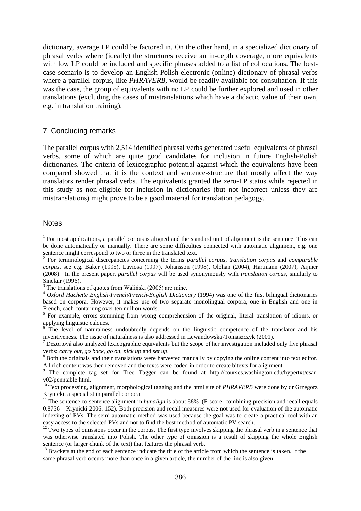dictionary, average LP could be factored in. On the other hand, in a specialized dictionary of phrasal verbs where (ideally) the structures receive an in-depth coverage, more equivalents with low LP could be included and specific phrases added to a list of collocations. The bestcase scenario is to develop an English-Polish electronic (online) dictionary of phrasal verbs where a parallel corpus, like *PHRAVERB*, would be readily available for consultation. If this was the case, the group of equivalents with no LP could be further explored and used in other translations (excluding the cases of mistranslations which have a didactic value of their own, e.g. in translation training).

#### 7. Concluding remarks

The parallel corpus with 2,514 identified phrasal verbs generated useful equivalents of phrasal verbs, some of which are quite good candidates for inclusion in future English-Polish dictionaries. The criteria of lexicographic potential against which the equivalents have been compared showed that it is the context and sentence-structure that mostly affect the way translators render phrasal verbs. The equivalents granted the zero-LP status while rejected in this study as non-eligible for inclusion in dictionaries (but not incorrect unless they are mistranslations) might prove to be a good material for translation pedagogy.

#### **Notes**

 $1$  For most applications, a parallel corpus is aligned and the standard unit of alignment is the sentence. This can be done automatically or manually. There are some difficulties connected with automatic alignment, e.g. one sentence might correspond to two or three in the translated text.

2 For terminological discrepancies concerning the terms *parallel corpus*, *translation corpus* and *comparable corpus,* see e.g. Baker (1995), Laviosa (1997), Johansson (1998), Olohan (2004), Hartmann (2007), Aijmer (2008). In the present paper, *parallel corpus* will be used synonymously with *translation corpus*, similarly to Sinclair (1996).

 $3$  The translations of quotes from Walingski (2005) are mine.

<sup>4</sup> *Oxford Hachette English-French/French-English Dictionary* (1994) was one of the first bilingual dictionaries based on corpora. However, it makes use of two separate monolingual corpora, one in English and one in French, each containing over ten million words.

<sup>5</sup> For example, errors stemming from wrong comprehension of the original, literal translation of idioms, or applying linguistic calques.

<sup>6</sup> The level of naturalness undoubtedly depends on the linguistic competence of the translator and his inventiveness. The issue of naturalness is also addressed in Lewandowska-Tomaszczyk (2001).

 $<sup>7</sup>$  Dezortová also analyzed lexicographic equivalents but the scope of her investigation included only five phrasal</sup> verbs: *carry out*, *go back*, *go on*, *pick up* and *set up*. 8 Both the originals and their translations were harvested manually by copying the online content into text editor.

All rich content was then removed and the texts were coded in order to create bitexts for alignment.<br><sup>9</sup> The complete tag set for Tree Tagger can be found at http://courses.washington.edu/hypertxt/csarv02/penntable.html.

<sup>10</sup> Text processing, alignment, morphological tagging and the html site of *PHRAVERB* were done by dr Grzegorz Krynicki, a specialist in parallel corpora.

<sup>11</sup> The sentence-to-sentence alignment in *hunalign* is about 88% (F-score combining precision and recall equals 0.8756 – Krynicki 2006: 152). Both precision and recall measures were not used for evaluation of the automatic indexing of PVs. The semi-automatic method was used because the goal was to create a practical tool with an easy access to the selected PVs and not to find the best method of automatic PV search.

<sup>12</sup> Two types of omissions occur in the corpus. The first type involves skipping the phrasal verb in a sentence that was otherwise translated into Polish. The other type of omission is a result of skipping the whole English sentence (or larger chunk of the text) that features the phrasal verb.

<sup>13</sup> Brackets at the end of each sentence indicate the title of the article from which the sentence is taken. If the same phrasal verb occurs more than once in a given article, the number of the line is also given.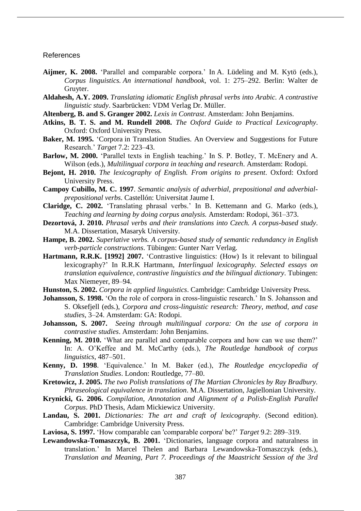#### References

- **Aijmer, K. 2008.** 'Parallel and comparable corpora.' In A. Lüdeling and M. Kytö (eds.), *Corpus linguistics. An international handbook*, vol. 1: 275–292. Berlin: Walter de Gruyter.
- **Aldahesh, A.Y. 2009.** *Translating idiomatic English phrasal verbs into Arabic. A contrastive linguistic study*. Saarbrücken: VDM Verlag Dr. Müller.
- **Altenberg, B. and S. Granger 2002.** *Lexis in Contrast*. Amsterdam: John Benjamins.
- **Atkins, B. T. S. and M. Rundell 2008.** *The Oxford Guide to Practical Lexicography*. Oxford: Oxford University Press.
- **Baker, M. 1995.** 'Corpora in Translation Studies. An Overview and Suggestions for Future Research.' *Target* 7.2: 223–43.
- **Barlow, M. 2000.** 'Parallel texts in English teaching.' In S. P. Botley, T. McEnery and A. Wilson (eds.), *Multilingual corpora in teaching and research*. Amsterdam: Rodopi.
- **Bejont, H. 2010.** *The lexicography of English. From origins to present*. Oxford: Oxford University Press.
- **Campoy Cubillo, M. C. 1997**. *Semantic analysis of adverbial, prepositional and adverbialprepositional verbs*. Castellón: Universitat Jaume I.
- **Claridge, C. 2002.** 'Translating phrasal verbs.' In B. Kettemann and G. Marko (eds.), *Teaching and learning by doing corpus analysis.* Amsterdam: Rodopi, 361–373.
- **Dezortová, J. 2010.** *Phrasal verbs and their translations into Czech. A corpus-based study*. M.A. Dissertation, Masaryk University.
- **Hampe, B. 2002.** *Superlative verbs. A corpus-based study of semantic redundancy in English verb-particle constructions*. Tübingen: Gunter Narr Verlag.
- **Hartmann, R.R.K. [1992] 2007.** 'Contrastive linguistics: (How) Is it relevant to bilingual lexicography?' In R.R.K Hartmann, *Interlingual lexicography. Selected essays on translation equivalence, contrastive linguistics and the bilingual dictionary*. Tubingen: Max Niemeyer, 89–94.
- **Hunston, S. 2002.** *Corpora in applied linguistics*. Cambridge: Cambridge University Press.
- **Johansson, S. 1998.** 'On the role of corpora in cross-linguistic research.' In S. Johansson and S. Oksefjell (eds.), *Corpora and cross-linguistic research: Theory, method, and case studies*, 3–24. Amsterdam: GA: Rodopi.
- **Johansson, S. 2007.** *Seeing through multilingual corpora: On the use of corpora in contrastive studies*. Amsterdam: John Benjamins.
- **Kenning, M. 2010.** 'What are parallel and comparable corpora and how can we use them?' In: A. O'Keffee and M. McCarthy (eds.), *The Routledge handbook of corpus linguistics*, 487–501.
- **Kenny, D. 1998**. 'Equivalence.' In M. Baker (ed.), *The Routledge encyclopedia of Translation Studies*. London: Routledge, 77–80.
- **Kretowicz, J. 2005.** *The two Polish translations of The Martian Chronicles by Ray Bradbury. Phraseological equivalence in translation*. M.A. Dissertation, Jagiellonian University.
- **Krynicki, G. 2006.** *Compilation, Annotation and Alignment of a Polish-English Parallel Corpus*. PhD Thesis, Adam Mickiewicz University.
- **Landau, S. 2001.** *Dictionaries: The art and craft of lexicography*. (Second edition). Cambridge: Cambridge University Press.
- **Laviosa, S. 1997.** 'How comparable can 'comparable corpora' be?' *Target* 9.2: 289–319.
- **Lewandowska-Tomaszczyk, B. 2001.** 'Dictionaries, language corpora and naturalness in translation.' In Marcel Thelen and Barbara Lewandowska-Tomaszczyk (eds.), *Translation and Meaning, Part 7. Proceedings of the Maastricht Session of the 3rd*